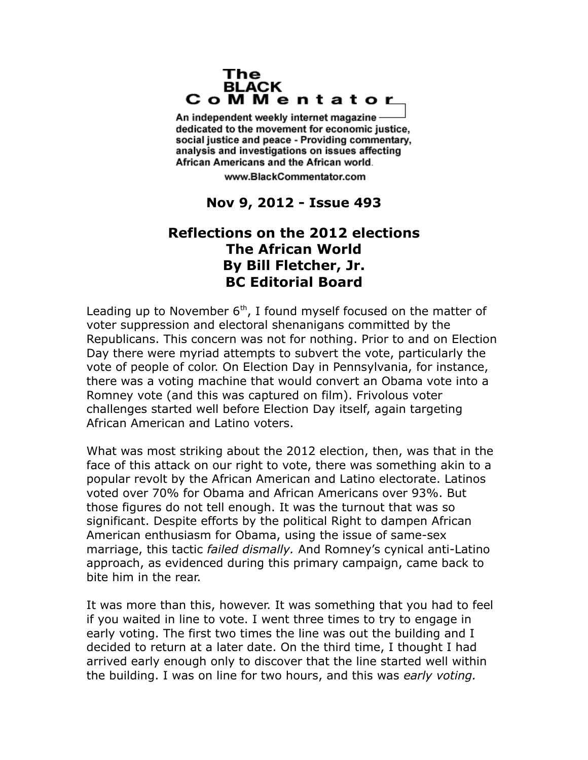## The **BLACK** CoMMentator

An independent weekly internet magazine dedicated to the movement for economic justice. social justice and peace - Providing commentary, analysis and investigations on issues affecting African Americans and the African world.

www.BlackCommentator.com

## **Nov 9, 2012 - Issue 493**

## **Reflections on the 2012 elections The African World By Bill Fletcher, Jr. BC Editorial Board**

Leading up to November  $6<sup>th</sup>$ , I found myself focused on the matter of voter suppression and electoral shenanigans committed by the Republicans. This concern was not for nothing. Prior to and on Election Day there were myriad attempts to subvert the vote, particularly the vote of people of color. On Election Day in Pennsylvania, for instance, there was a voting machine that would convert an Obama vote into a Romney vote (and this was captured on film). Frivolous voter challenges started well before Election Day itself, again targeting African American and Latino voters.

What was most striking about the 2012 election, then, was that in the face of this attack on our right to vote, there was something akin to a popular revolt by the African American and Latino electorate. Latinos voted over 70% for Obama and African Americans over 93%. But those figures do not tell enough. It was the turnout that was so significant. Despite efforts by the political Right to dampen African American enthusiasm for Obama, using the issue of same-sex marriage, this tactic *failed dismally.* And Romney's cynical anti-Latino approach, as evidenced during this primary campaign, came back to bite him in the rear.

It was more than this, however. It was something that you had to feel if you waited in line to vote. I went three times to try to engage in early voting. The first two times the line was out the building and I decided to return at a later date. On the third time, I thought I had arrived early enough only to discover that the line started well within the building. I was on line for two hours, and this was *early voting.*